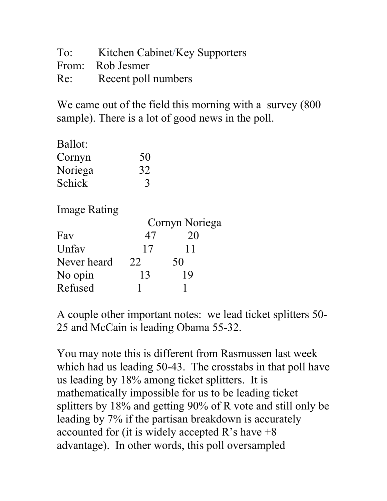| To: | Kitchen Cabinet/Key Supporters |
|-----|--------------------------------|
|     | From: Rob Jesmer               |
|     | Re: Recent poll numbers        |

We came out of the field this morning with a survey (800) sample). There is a lot of good news in the poll.

| Ballot: |    |
|---------|----|
| Cornyn  | 50 |
| Noriega | 32 |
| Schick  |    |

Image Rating

|             | Cornyn Noriega |    |  |
|-------------|----------------|----|--|
| Fav         | 47             | 20 |  |
| Unfav       | 17             | 11 |  |
| Never heard | 22             | 50 |  |
| No opin     | 13             | 19 |  |
| Refused     |                |    |  |

A couple other important notes: we lead ticket splitters 50- 25 and McCain is leading Obama 55-32.

You may note this is different from Rasmussen last week which had us leading 50-43. The crosstabs in that poll have us leading by 18% among ticket splitters. It is mathematically impossible for us to be leading ticket splitters by 18% and getting 90% of R vote and still only be leading by 7% if the partisan breakdown is accurately accounted for (it is widely accepted R's have  $+8$ ) advantage). In other words, this poll oversampled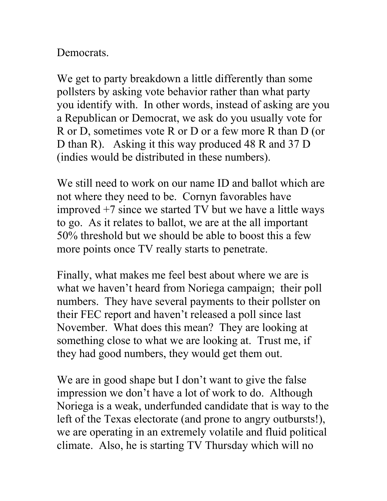## **Democrats**

We get to party breakdown a little differently than some pollsters by asking vote behavior rather than what party you identify with. In other words, instead of asking are you a Republican or Democrat, we ask do you usually vote for R or D, sometimes vote R or D or a few more R than D (or D than R). Asking it this way produced 48 R and 37 D (indies would be distributed in these numbers).

We still need to work on our name ID and ballot which are not where they need to be. Cornyn favorables have improved +7 since we started TV but we have a little ways to go. As it relates to ballot, we are at the all important 50% threshold but we should be able to boost this a few more points once TV really starts to penetrate.

Finally, what makes me feel best about where we are is what we haven't heard from Noriega campaign; their poll numbers. They have several payments to their pollster on their FEC report and haven't released a poll since last November. What does this mean? They are looking at something close to what we are looking at. Trust me, if they had good numbers, they would get them out.

We are in good shape but I don't want to give the false impression we don't have a lot of work to do. Although Noriega is a weak, underfunded candidate that is way to the left of the Texas electorate (and prone to angry outbursts!), we are operating in an extremely volatile and fluid political climate. Also, he is starting TV Thursday which will no